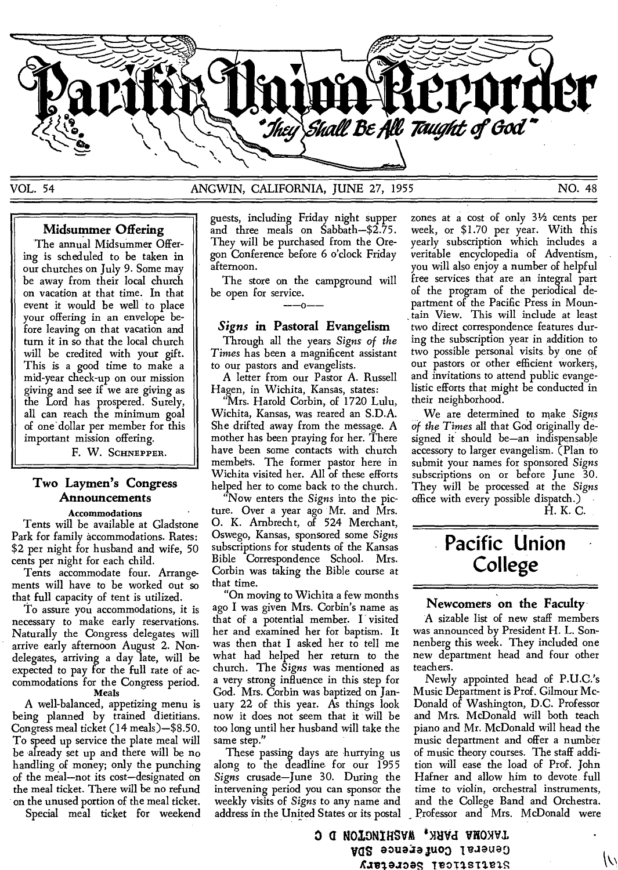

#### VOL. 54 ANGWIN, CALIFORNIA, JUNE 27, 1955 NO. 48

#### **Midsummer Offering**

The annual Midsummer Offering is scheduled to be taken in our churches on July 9. Some may be away from their local church on vacation at that time. In that event it would be well to place your offering in an envelope before leaving on that vacation and turn it in so that the local church will be credited with your gift. This is a good time to make a mid-year check-up on our mission giving and see if we are giving as the Lord has prospered. Surely, all can reach the minimum goal of one-dollar per member for this important mission offering.

F. W. SCHNEPPER.

#### **Two Laymen's Congress Announcements**

#### **Accommodations**

Tents will be available at Gladstone Park for family accommodations. Rates: \$2 per night for husband and wife, 50 cents per night for each child.

Tents accommodate four. Arrangements will have to be worked out so that full capacity of tent is utilized.

To assure you accommodations, it is necessary to make early reservations. Naturally the Congress delegates will arrive early afternoon August 2. Nondelegates, arriving a day late, will be expected to pay for the full rate of accommodations for the Congress period. Meals

A well-balanced, appetizing menu is being planned by trained dietitians. Congress meal ticket (14 meals)—\$8.50. To speed up service the plate meal will be already set up and there will be no handling of money; only the punching of the meal—not its cost—designated on the meal ticket. There will be no refund on the unused portion of the meal ticket.

Special meal ticket for weekend

guests, including Friday night supper and three meals on Sabbath—\$2.75. They will be purchased from the Oregon Conference before 6 o'clock Friday afternoon.

The store on the campground will be open for service.<br>———————

#### *Signs* **in Pastoral Evangelism**

Through all the years *Signs of the Times* has been a magnificent assistant to our pastors and evangelists.

A letter from our Pastor A. Russell Hagen, in Wichita, Kansas, states:

"Mrs. Harold Corbin, of 1720 Lulu, Wichita, Kansas, was reared an S.D.A. She drifted away from the message. A mother has been praying for her. There have been some contacts with church members. The former pastor here in Wichita visited her. All of these efforts helped her to come back to the church.

"Now enters the *Signs* into the picture. Over a year ago Mr. and Mrs. 0. K. Arnbrecht, of 524 Merchant, Oswego, Kansas, sponsored some *Signs*  subscriptions for students of the Kansas Bible Correspondence School. Mrs. Corbin was taking the Bible course at that time.

"On moving to Wichita a few months ago I was given Mrs. Corbin's name as that of a potential member. I visited her and examined her for baptism. It was then that I asked her to tell me what had helped her return to the church. The *Signs* was mentioned as a very strong influence in this step for God. Mrs. Corbin was baptized on January 22 of this year. As things look now it does not seem that it will be too long until her husband will take the same step."

These passing days are hurrying us along to the deadline for our 1955 *Signs* crusade—June 30. During the intervening period you can sponsor the weekly visits of *Signs* to any name and address in the United States or its postal

zones at a cost of only 31/2 cents per week, or \$1.70 per year. With this yearly subscription which includes a veritable encyclopedia of Adventism, you will also enjoy a number of helpful free services that are an integral part of the program of the periodical department of the Pacific Press in Mountain View. This will include at least two direct correspondence features during the subscription year in addition to two possible personal visits by one of our pastors or other efficient workers, and invitations to attend public evangelistic efforts that might be conducted in their neighborhood.

We are determined to make *Signs of the Times* all that God originally designed it should be—an indispensable accessory to larger evangelism. (Plan to submit your names for sponsored *Signs*  subscriptions on or before June 30. They will be processed at the *Signs*  office with every possible dispatch.) H. K. C.

## **Pacific Union College**

#### **Newcomers on the Faculty**

A sizable list of new staff members was announced by President H. L. Sonnenberg this week. They included one new department head and four other teachers.

Newly appointed head of P.U.C.'s Music Department is Prof. Gilmour Mc-Donald of Washington, D.C. Professor and Mrs. McDonald will both teach piano and Mr. McDonald will head the music department and offer a number of music theory courses. The staff addition will ease the load of Prof. John Hafner and allow him to devote full time to violin, orchestral instruments, and the College Band and Orchestra. Professor and Mrs. McDonald were

 $\overline{\mathcal{N}}$ 

a **NOIDNIRSVM VRONVI**  General Conference SDA **8.1810JZOR TVOI1SI1S1**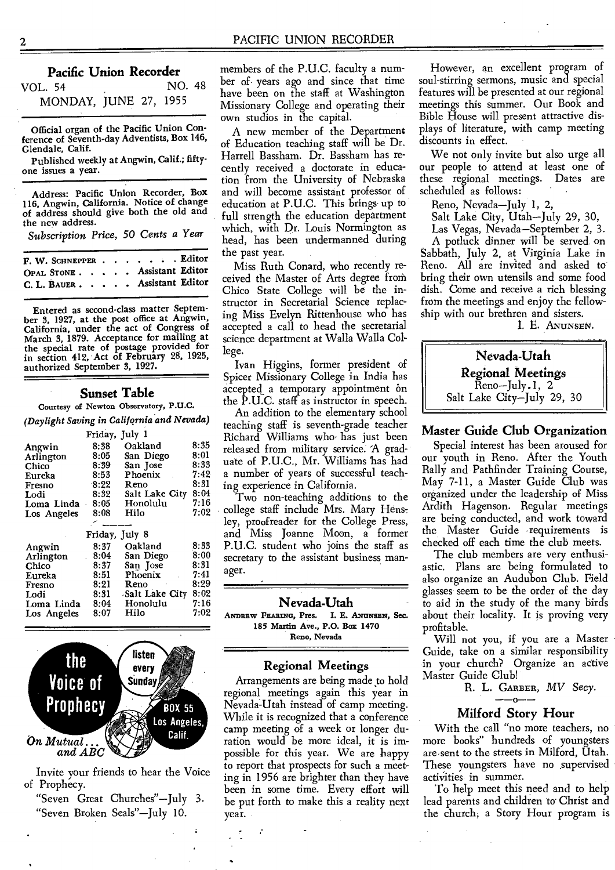#### **Pacific Union Recorder**

VOL. 54 NO. 48 MONDAY, JUNE 27, 1955

Official organ of the Pacific Union Conference of Seventh-day Adventists, Box 146, Glendale, Calif.

Published weekly at Angwin, Calif.; fiftyone issues a year.

Address: Pacific Union Recorder, Box 116, Angwin, California. Notice of change of address should give both the old and the new address.

*Subscription Price, 50 Cents a Year* 

| F. W. SCHNEPPER Editor       |  |  |  |
|------------------------------|--|--|--|
| OPAL STONE Assistant Editor  |  |  |  |
| C. L. BAUER Assistant Editor |  |  |  |

Entered as second-class matter September 3, 1927, at the post office at Angwin, California, under the act of Congress of March 3, 1879. Acceptance for mailing at the special rate of postage provided for in section 412, Act of February 28, 1925, authorized September 3, 1927.

#### **Sunset Table**

Courtesy of Newton Observatory, P.U.C.

*(Daylight Saving in California and Nevada)* 

|             | Friday, July 1 |                |      |
|-------------|----------------|----------------|------|
| Angwin      | 8:38           | Oakland        | 8:35 |
| Arlington   | 8:05           | San Diego      | 8:01 |
| Chico       | 8:39           | San Jose       | 8:33 |
| Eureka      | 8:53           | Phoenix        | 7:42 |
| Fresno      | 8:22           | Reno           | 8:31 |
| Lodi        | 8:32           | Salt Lake City | 8:04 |
| Loma Linda  | 8:05           | Honolulu       | 7:16 |
| Los Angeles | 8:08           | Hilo           | 7:02 |
|             |                |                |      |
|             | Friday, July 8 |                |      |
| Angwin      | 8:37           | Oakland        | 8:33 |
|             |                |                |      |

| Angwin      | 8:37 | Oakland        | 8:33 |
|-------------|------|----------------|------|
| Arlington   | 8:04 | San Diego      | 8:00 |
| Chico       | 8:37 | San Jose       | 8:31 |
| Eureka      | 8:51 | Phoenix        | 7:41 |
| Fresno      | 8:21 | Reno           | 8:29 |
| Lodi        | 8:31 | Salt Lake City | 8:02 |
| Loma Linda  | 8:04 | Honolulu       | 7:16 |
| Los Angeles | 8:07 | Hilo           | 7:02 |
|             |      |                |      |



Invite your friends to hear the Voice of Prophecy.

"Seven Great Churches"—July 3. "Seven Broken Seals"—July 10.

members of the P.U.C. faculty a number of. years ago and since that time have been on the staff at Washington Missionary College and operating their own studios in the capital.

A new member of the Department of Education teaching staff will be Dr. Harrell Bassham. Dr. Bassham has recently received a doctorate in education from the University of Nebraska and will become assistant professor of education at P.U.C. This brings• up to full strength the education department which, with Dr. Louis Normington as head, has been undermanned during the past year.

Miss Ruth Conard, who recently received the Master of Arts degree from Chico State College will be the instructor in Secretarial Science replacing Miss Evelyn Rittenhouse who has accepted a call to head the secretarial science department at Walla Walla College.

Ivan Higgins, former president of Spicer Missionary College in India has accepted a temporary appointment on the P.U.C. staff as instructor in speech.

An addition to the elementary school teaching staff is seventh-grade teacher Richard Williams who has just been released from military service. A graduate of P.U.C., Mr. Williams has had a number of years of successful teaching experience in California.

Two non-teaching additions to the college staff include Mrs. Mary Hensley, proofreader for the College Press, and Miss Joanne Moon, a former P.U.C. student who joins the staff as secretary to the assistant business manager.

#### **Nevada-Utah**

**ANDREW FEARING,** Pres. I. E. **AamtsEN, Sec. 185** Martin Ave., P.O. Box 1470 Reno, Nevada

#### **Regional Meetings**

Arrangements are being made to hold regional meetings again this year in Nevada-Utah instead of camp meeting. While it is recognized that a conference camp meeting of a week or longer duration would be more ideal, it is impossible for this year. We are happy to report that prospects for such a meeting in 1956 are brighter than they have been in some time. Every effort will be put forth to make this a reality next year.

However, an excellent program of soul-stirring sermons, music and special features will be presented at our regional meetings this summer. Our Book and Bible House will present attractive displays of literature, with camp meeting discounts in effect.

We not only invite but also urge all our people to attend at least one of these regional meetings. Dates are scheduled as follows:

Reno, Nevada—July 1, 2,

Salt Lake City, Utah—July 29, 30,

Las Vegas, Nevada—September 2, 3.

A potluck dinner will be served. on Sabbath, July 2, at Virginia Lake in Reno. All are invited and asked to bring their own utensils and some food dish. Come and receive a rich blessing from the meetings and enjoy the fellowship with our brethren and sisters.

I. E. ANUNSEN.



#### **Master Guide Club Organization**

Special interest has been aroused for our youth in Reno. After the Youth Rally and Pathfinder Training Course, May 7-11, a Master Guide Club was organized under the leadership of Miss Ardith Hagenson. Regular meetings are being conducted, and work toward the Master Guide requirements is checked off each time the club meets.

The club members are very enthusiastic. Plans are being formulated to also organize an Audubon Club. Field glasses seem to be the order of the day to aid in the study of the many birds about their locality. It is proving very profitable.

Will not you, if you are a Master Guide, take on a similar responsibility in your church? Organize an active Master Guide Club!

R. L. GARBER, MV Secy.

#### **Milford Story Hour**

With the call "no more teachers, no more books" hundreds of youngsters are•sent to the streets in Milford, Utah. These youngsters have no supervised activities in summer.

To help meet this need and to help lead parents and children to Christ and the church, a Story Hour program is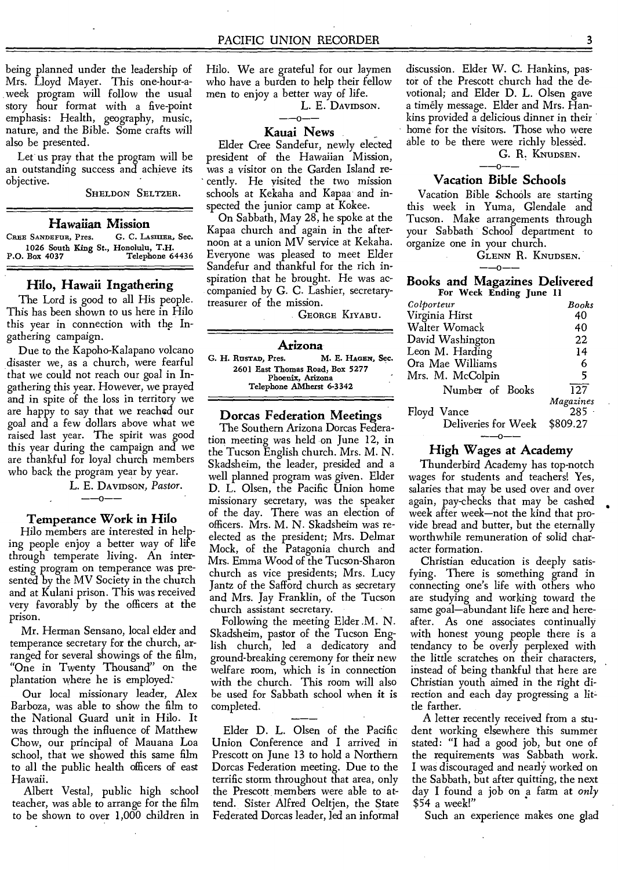being planned under the leadership of Mrs. Lloyd Mayer. This one-hour-aweek program will follow the usual story hour format with a five-point emphasis: Health, geography, music, nature, and the Bible. Some crafts will also be presented.

Let us pray that the program will be an outstanding success and achieve its objective.

SHELDON SELTZER.

**Hawaiian Mission** 

**CREE SANDEFUR, Pres.** 1026 South King St., Honolulu, T.H.<br>P.O. Box 4037 Telephone 6 Telephone 64436

#### **Hilo, Hawaii Ingathering**

The Lord is good to all His people. This has been shown to us here in Hilo this year in connection with the Ingathering campaign.

Due to the Kapoho-Kalapano volcano disaster we, as a church, were fearful that we could not reach our goal in Ingathering this year. However, we prayed and in spite of the loss in territory we are happy to say that we reached our goal and a few dollars above what we raised last year. The spirit was good this year during the campaign and we are thankful for loyal church members who back the program year by year.

L. E. DAVIDSON, *Pastor. --o--* 

#### **Temperance Work in Hilo**

Hilo members are interested in helping people enjoy a better way of life through temperate living. An interesting program on temperance was presented by the MV Society in the church and at Kulani prison. This was received very favorably by the officers at the prison.

Mr. Herman Sensano, local elder and temperance secretary for the church, arranged for several showings of the film, "One in Twenty Thousand" on the plantation where he is employed:

Our local missionary leader, Alex Barboza, was able to show the film to the National Guard unit in Hilo. It was through the influence of Matthew Chow, our principal of Mauana Loa school, that we showed this same film to all the public health officers of east Hawaii.

Albert Vestal, public high school teacher, was able to arrange for the film to be shown to over 1,000 children in

Hilo. We are grateful for our laymen who have a burden to help their fellow men to enjoy a better way of life.

L. E. DAVIDSON.

#### $\alpha$ -**Kauai News**

Elder Cree Sandefur, newly elected president of the Hawaiian Mission, was a visitor on the Garden Island recently. He visited the two mission schools at Kekaha and Kapaa and inspected the junior camp at Kokee.

On Sabbath, May 28, he spoke at the Kapaa church and again in the afternoon at a union MV service at Kekaha. Everyone was pleased to meet Elder Sandefur and thankful for the rich inspiration that he brought. He was accompanied by G. C. Lashier, secretarytreasurer of the mission.

GEORGE KIYABU.

Arizona<br>**M. E. Hagen, Sec.** G. H. RusTAD, Pres. 2601 East Thomas Road, Box 5277 Phoenix, Arizona Telephone AMherst 6-3342

#### **Dorcas Federation Meetings**

The Southern Arizona Dorcas Federation meeting was held on June 12, in the Tucson English church. Mrs. M. N. Skadsheim, the leader, presided and a well planned program was given. Elder D. L. Olsen, the Pacific Union home missionary secretary, was the speaker of the day. There was an election of officers. Mrs. M. N. Skadsheim was reelected as the president; Mrs. Delmar Mock, of the Patagonia church and Mrs. Emma Wood of the Tucson-Sharon church as vice presidents; Mrs. Lucy Jantz of the Safford church as secretary and Mrs. Jay Franklin, of the Tucson church assistant secretary.

Following the meeting Elder .M. N. Skadsheim, pastor of the Tucson English church, led a dedicatory and ground-breaking ceremony for their new welfare room, which is in connection with the church. This room will also be used for Sabbath school when it is completed.

npleted.<br>Elder D. L. Olsen of the Pacific Union Conference and I arrived in Prescott on June 13 to hold a Northern Dorcas Federation meeting. Due to the terrific storm throughout that area, only the Prescott members were able to attend. Sister Alfred Oeltjen, the State Federated Dorcas leader, led an informal

discussion. Elder W. C. Hankins, pastor of the Prescott church had the devotional; and Elder D. L. Olsen gave a timely message. Elder and Mrs. Hankins provided a delicious dinner in their home for the visitors. Those who were able to be there were richly blessed.

G. R. KNUDSEN.

#### **Vacation Bible Schools**

Vacation Bible Schools are starting this week in Yuma, Glendale and Tucson. Make arrangements through your Sabbath School department to organize one in your church.

**GLENN R. KNUDSEN.**<br>  $\begin{array}{c}\n -\text{-}0\n \end{array}$ 

#### **Books and Magazines Delivered**  For Week Ending June 11

| Colporteur          | Books     |
|---------------------|-----------|
| Virginia Hirst      | 40        |
| Walter Womack       | 40        |
| David Washington    | 22        |
| Leon M. Harding     | 14        |
| Ora Mae Williams    | 6         |
| Mrs. M. McColpin    | 5         |
| Number of Books     | 127       |
|                     | Magazines |
| Floyd Vance         | $285 -$   |
| Deliveries for Week | \$809.27  |
|                     |           |
|                     |           |

#### **High Wages at Academy**

Thunderbird Academy has top-notch wages for students and teachers! Yes, salaries that may be used over and over again, pay-checks that may be cashed week after week—not the kind that provide bread and butter, but the eternally worthwhile remuneration of solid character formation.

Christian education is deeply satisfying. There is something grand in connecting one's life with others who are studying and working toward the same goal—abundant life here and hereafter. As one associates continually with honest young people there is a tendancy to be overly perplexed with the little scratches on their characters, instead of being thankful that here are Christian youth aimed in the right direction and each day progressing a little farther.

A letter recently received from a student working elsewhere this summer stated: "I had a good job, but one of the requirements was Sabbath work. I was discouraged and nearly worked on the Sabbath, but after quitting, the next day I found a job on a farm at *only*  \$54 a week!"

Such an experience makes one glad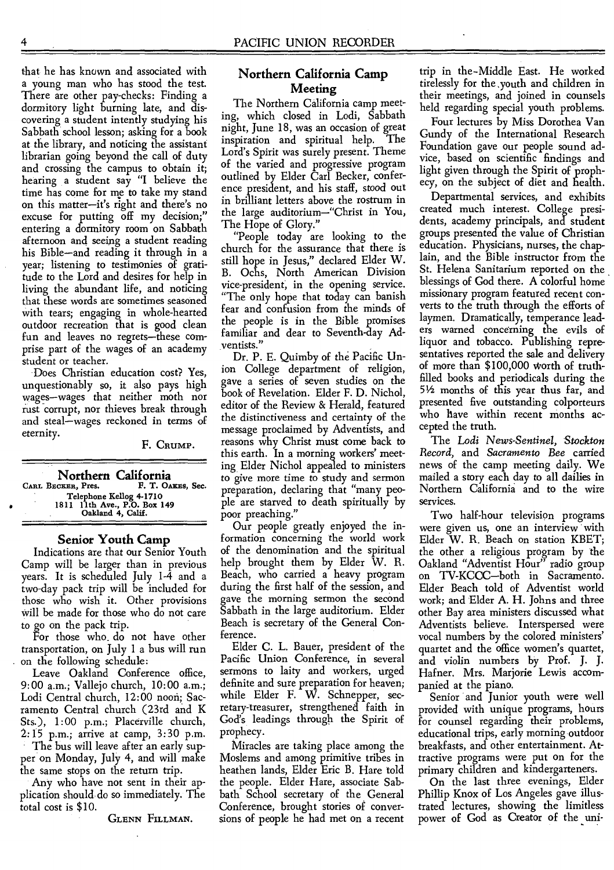that he has known and associated with a young man who has stood the test. There are other pay-checks: Finding a dormitory light burning late, and discovering a student intently studying his Sabbath school lesson; asking for a book at the library, and noticing the assistant librarian going beyond the call of duty and crossing the campus to obtain it; hearing a student say "I believe the time has come for me to take my stand on this matter—it's right and there's no excuse for putting off my decision;" entering a dormitory room on Sabbath afternoon and seeing a student reading his Bible—and reading it through in a year; listening to testimonies of gratitude to the Lord and desires for help in living the abundant life, and noticing that these words are sometimes seasoned with tears; engaging in whole-hearted outdoor recreation that is good clean fun and leaves no regrets—these comprise part of the wages of an academy student or teacher.

Does Christian education cost? Yes, unquestionably so, it also pays high wages—wages that neither moth nor rust corrupt, nor thieves break through and steal—wages reckoned in terms of eternity.

F. CRUMP.

**Northern California**  CARL BECKER, Pres. Telephone Kellog4-1710 1811 11th Ave., P.O. Box 149 Oakland 4, Calif.

#### **Senior Youth Camp**

Indications are that our Senior Youth Camp will be larger than in previous years. It is scheduled July 1-4 and a two-day pack trip will be included for those who wish it. Other provisions will be made for those who do not care to go on the pack trip.

For those who\_ do not have other transportation, on July 1 a bus will run on the following schedule:

Leave Oakland Conference office, 9:00 a.m.; Vallejo church, 10:00 a.m.; Lodi Central church, 12:00 noori; Sacramento Central church (23rd and K Sts.), 1:00 p.m.; Placerville church, 2:15 p.m.; arrive at camp, 3:30 p.m.

The bus will leave after an early supper on Monday, July 4, and will make the same stops on the return trip.

Any who have not sent in their application should• do so immediately. The total cost is \$10.

GLENN FILLMAN.

#### **Northern California Camp Meeting**

The Northern California camp meeting, which closed in Lodi, Sabbath night, June 18, was an occasion of great inspiration and spiritual help. Lord's Spirit was surely present. Theme of the varied and progressive program outlined by Elder Carl Becker, conference president, and his staff, stood out in brilliant letters above the rostrum in the large auditorium—"Christ in You, The Hope of Glory."

"People today are looking to the church for the assurance that there is still hope in Jesus," declared Elder W. B. Ochs, North American Division vice-president, in the opening service. "The only hope that today can banish fear and confusion from the minds of the people is in the Bible promises familiar and dear to Seventh-day Adventists."

Dr. P. E. Quimby of the Pacific Union College department of religion, gave a series of seven studies on the book of Revelation. Elder F. D. Nichol, editor of the Review & Herald, featured the distinctiveness and certainty of the message proclaimed by Adventists, and reasons why Christ must come back to this earth. In a morning workers' meeting Elder Nichol appealed to ministers to give more time to study and sermon preparation, declaring that "many people are starved to death spiritually by poor preaching."

Our people greatly enjoyed the information concerning the world work of the denomination and the spiritual help brought them by Elder W. R. Beach, who carried a heavy program during the first half of the session, and gave the morning sermon the second Sabbath in the large auditorium. Elder Beach is secretary of the General Conference.

Elder C. L. Bauer, president of the Pacific Union Conference, in several sermons to laity and workers, urged definite and sure preparation for heaven; while Elder F. W. Schnepper, secretary-treasurer, strengthened faith in God's leadings through the Spirit of prophecy.

Miracles are taking place among the Moslems and among primitive tribes in heathen lands, Elder Eric B. Hare told the people. Elder Hare, associate Sabbath School secretary of the General Conference, brought stories of conversions of people he had met on a recent trip in the-Middle East. He worked tirelessly for the ,youth and children in their meetings, and joined in counsels held regarding special youth problems.

Four lectures by Miss Dorothea Van Gundy of the International Research Foundation gave our people sound advice, based on scientific findings and light given through the Spirit of prophecy, on the subject of diet and health.

Departmental services, and exhibits created much interest. College presidents, academy principals, and student groups presented the value of Christian education. Physicians, nurses, the chaplain, and the Bible instructor from the St. Helena Sanitarium reported on the blessings of God there. A colorful home missionary program featured recent converts to the truth through the efforts of laymen. Dramatically, temperance leaders warned concerning the evils of liquor and tobacco. Publishing representatives reported the sale and delivery of more than \$100,000 Worth of truthfilled books and periodicals during the 51/2months of this year thus far, and presented five outstanding colporteurs who have within recent months accepted the truth.

The *Lodi News-Sentinel, Stockton Record,* and *Sacramento Bee* carried news of the camp meeting daily. We mailed a story each day to all dailies in Northern California and to the wire services.

Two half-hour television programs were given us, one an interview with Elder W. R. Beach on station KBET; the other a religious program by the Oakland "Adventist Hour" radio group on TV-KCCC—both in Sacramento. Elder Beach told of Adventist world work; and Elder A. H. Johns and three other Bay area ministers discussed what Adventists believe. Interspersed were vocal numbers by the colored ministers' quartet and the office women's quartet, and violin numbers by Prof. J. J. Hafner. Mrs. Marjorie Lewis accompanied at the piano.

Senior and Junior youth were well provided with unique programs, hours for counsel regarding their problems, educational trips, early morning outdoor breakfasts, and other entertainment. Attractive programs were put on for the primary children and kindergarteners.

On the last three evenings, Elder Phillip Knox of Los Angeles gave illustrated lectures, showing the limitless power of God as Creator of the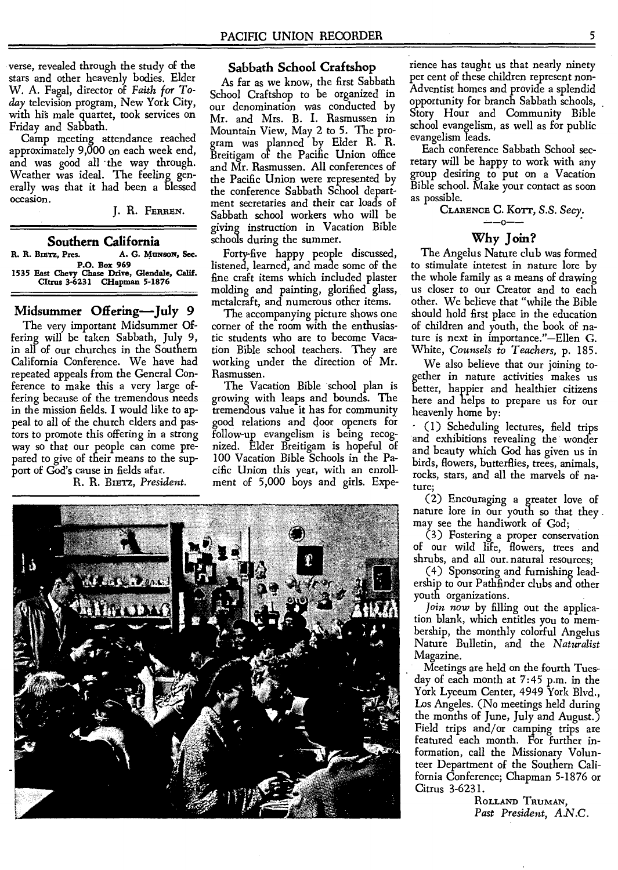verse, revealed through the study of the stars and other heavenly bodies. Elder W. A. Fagal, director of *Faith for Today* television program, New York City, with his male quartet, took services on Friday and Sabbath.

Camp meeting attendance reached approximately 9,000 on each week end, and was good all the way through. Weather was ideal. The feeling generally was that it had been a blessed occasion.

**J. R. FERREN.** 

#### **Southern California**

R. R. BIETZ, Pres. A. G. Munson, Sec. **P.O. Box 969 1535 Bast Chevy Chase Drive, Glendale, Calif. Citrus 3-6231 CHapman 5-1876** 

#### **Midsummer Offering—July 9**

The very important Midsummer Offering will be taken Sabbath, July 9, in all of our churches in the Southern California Conference. We have had repeated appeals from the General Conference to make this a very large offering because of the tremendous needs in the mission fields. **I** would like to appeal to all of the church elders and pastors to promote this offering in a strong way so that our people can come prepared to give of their means to the support of God's cause in fields afar.

R. R. Birrz, *President.* 

#### **Sabbath School Craftshop**

As far as we know, the first Sabbath School Craftshop to be organized in our denomination was conducted by Mr. and Mrs. B. **I.** Rasmussen in Mountain View, May 2 to 5. The program was planned by Elder R. R. Breitigam of the Pacific Union office and Mr. Rasmussen. All conferences of the Pacific Union were represented by the conference Sabbath School department secretaries and their car loads of Sabbath school workers who will be giving instruction in Vacation Bible schools during the summer.

Forty-five happy people discussed, listened, learned, and made some of the fine craft items which included plaster molding and painting, glorified glass, metalcraft, and numerous other items.

The accompanying picture shows one corner of the room with the enthusiastic students who are to become Vacation Bible school teachers. They are working under the direction of Mr. Rasmussen.

The Vacation Bible school plan is growing with leaps and bounds. The tremendous value it has for community good relations and door openers for follow-up evangelism is being recognized. Elder Breitigam is hopeful of 100 Vacation Bible Schools in the Pacific Union this year, with an enrollment of 5,000 boys and girls. Expe-



rience has taught us that nearly ninety per cent of these children represent non-Adventist homes and provide a splendid opportunity for branch Sabbath schools, Story Hour and Community Bible school evangelism, as well as for public evangelism leads.

Each conference Sabbath School secretary will be happy to work with any group desiring to put on a Vacation Bible school. Make your contact as soon as possible.

**CLARENCE C.** Korr, *S.S. Secy. --o--* 

#### **Why Join?**

The Angelus Nature club was formed to stimulate interest in nature lore by the whole family as a means of drawing us closer to our Creator and to each other. We believe that "while the Bible should hold first place in the education of children and youth, the book of nature is next in importance."—Ellen G. White, *Counsels to Teachers,* p. 185.

We also believe that our joining together in nature activities makes us better, happier and healthier citizens here and helps to prepare us for our heavenly home by:

- (1) Scheduling lectures, field trips and exhibitions revealing the wonder and beauty which God has given us in birds, flowers, butterflies, trees, animals, rocks, stars, and all the marvels of nature;

(2) Encouraging a greater love of nature lore in our youth so that they may see the handiwork of God;

(3) Fostering a proper conservation of our wild life, flowers, trees and shrubs, and all our\_ natural resources;

(4) Sponsoring and furnishing leadership to our Pathfinder clubs and other youth organizations.

*Join now* by filling out the application blank, which entitles you to membership, the monthly colorful Angelus Nature Bulletin, and the *Naturalist*  Magazine.

Meetings are held on the fourth Tuesday of each month at 7:45 p.m. in the York Lyceum Center, 4949 York Blvd., Los Angeles. (No meetings held during the months of June, July and August.) Field trips and/or camping trips are featured each month. For further information, call the Missionary Volunteer Department of the Southern California Conference; Chapman 5-1876 or Citrus 3-6231.

> **ROLLAND TRUMAN,**  *Past President, A.N.C.*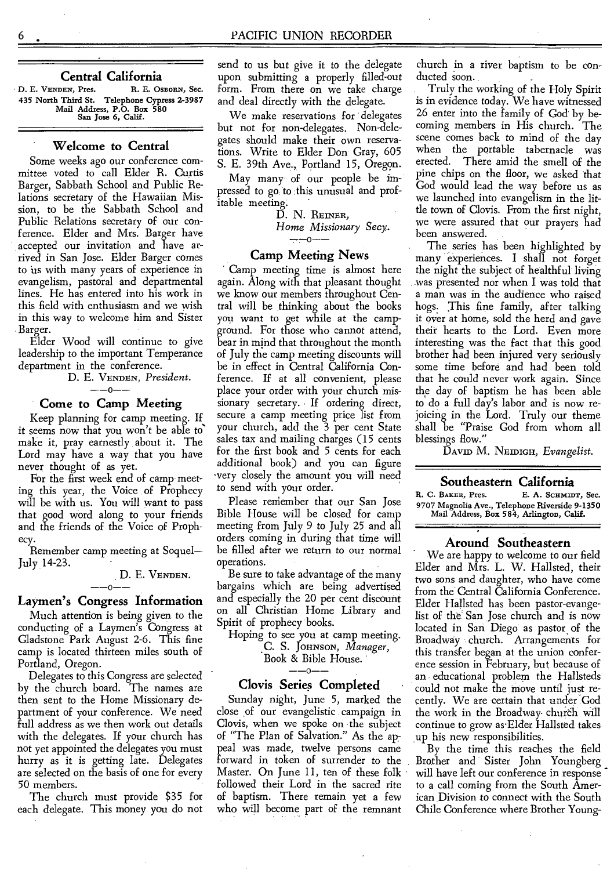#### **Central California**

D. E. VENDEN, Pres. R. E. OSBORN, Sec. 435 North Third St. Telephone Cypress 2-3987 Mail Address, P.O. Box 580 San Jose 6, Calif.

#### **Welcome to Central**

Some weeks ago our conference committee voted to call Elder R. Curtis Barger, Sabbath School and Public Relations secretary of the Hawaiian Mission, to be the Sabbath School and Public Relations secretary of our conference. Elder and Mrs. Barger have accepted our invitation and have arrived in San Jose. Elder Barger comes to us with many years of experience in evangelism, pastoral and departmental lines. He has entered into his work in this field with enthusiasm and we wish in this way to welcome him and Sister Barger.

Elder Wood will continue to give leadership to the important Temperance department in the conference.

D. E. VENDEN, *President. --0--* 

#### **Come to Camp Meeting**

Keep planning for camp meeting. If it seems now that you won't be able to make it, pray earnestly about it. The Lord may have a way that you have never thought of as yet.

For the first week end of camp meeting this year, the Voice of Prophecy will be with us. You will want to pass that good word along to your friends and the friends of the Voice of Prophecy.

Remember camp meeting at Soquel— July 14-23.

### D. E. VENDEN.

#### **Laymen's Congress Information**

Much attention is being given to the conducting of a Laymen's Congress at Gladstone Park August 2-6. This fine camp is located thirteen miles south of Portland, Oregon.

Delegates to this Congress are selected by the church board. The names are then sent to the Home Missionary department of your conference. We need full address as we then work out details with the delegates. If your church has not yet appointed the delegates you must hurry as it is getting late. Delegates are selected on the basis of one for every 50 members.

The church must provide \$35 for each delegate. This money you do not send to us but give it to the delegate upon submitting a properly filled-out form. From there on we take charge and deal directly with the delegate.

We make reservations for delegates but not for non-delegates. Non-delegates should make their own reservations. Write to Elder Don-Gray, 605 S. E. 39th Ave., Portland 15, Oregon.

May many of our people be impressed to go to this unusual and profitable meeting:

D. N. REINER, *Home Missionary Secy.* 

 $-$ -0 $-$ -

#### **Camp Meeting News**

Camp meeting time is almost here again. Along with that pleasant thought we know our members throughout Central will be thinking about the books you want to get while at the campground. For those who cannot attend, bear in mind that throughout the month of July the camp meeting discounts will be in effect in Central California Conference. If at all convenient, please place your order with your church missionary secretary. • If ordering direct, secure a camp meeting price list from your church, add the 3 per cent State sales tax and mailing charges (15 cents for the first book and 5 cents for each additional book) and you can figure .very closely the amount you will need to send with your order.

Please reniember that our San Jose Bible House will be closed for camp meeting from July 9 to July 25 and all orders coming in during that time will be filled after we return to our normal operations.

Be sure to take advantage of the many bargains which are being advertised and especially the 20 per cent discount on all Christian Home Library and Spirit of prophecy books.

Hoping to see you at camp meeting. C. S. JOHNSON, *Manager,* 

#### Book & Bible House.  $-0-$

#### **Clovis Series Completed**

Sunday night, June 5, marked the close of our evangelistic campaign in Clovis, when we spoke on the subject of "The Plan of Salvation." As the appeal was made, twelve persons came forward in token of surrender to the Master. On June 11, ten of these folk followed their Lord in the sacred rite of baptism. There remain yet a few who will become part of the remnant church in a river baptism to be conducted soon.

Truly the working of the Holy Spirit is in evidence today. We have witnessed 26 enter into the family of God by becoming members in His church. The scene comes back to mind of the day when the portable tabernacle was erected. There amid the smell of the pine chips on the floor, we asked that God would lead the way before us as we launched into evangelism in the little town of Clovis. From the first night, we were assured that our prayers had been answered.

The series has been highlighted by many experiences. I shall not forget the night the subject of healthful living was presented nor when I was told that a man was in the audience who raised hogs: This fine family, after talking it over at home, sold the herd and gave their hearts to the Lord. Even more interesting was the fact that this good brother had been injured very seriously some time before and had been told that he could never work again. Since the day of baptism he has been able to do a full day's labor and is now rejoicing in the Lord. Truly our theme shall be "Praise God from whom all blessings flow."

DAVID M. NEIDIGH, *Evangelist.* 

# **Southeastern California**<br>**R. C. BAKER, Pres.** E. A. SCHMID

E. A. SCHMIDT, Sec. 9707 Magnolia Ave., Telephone Riverside 9-1350 Mail Address, Box 584, Arlington, Calif.

#### **Around Southeastern**

We are happy to welcome to our field Elder and Mrs. L. W. Hallsted, their two sons and daughter, who have come from the Central California Conference. Elder Hallsted has been pastor-evangelist of the San Jose church and is now located in San Diego as pastor of the Broadway church. Arrangements for this transfer began at the union conference session in February, but because of an educational problem the Hallsteds could not make the move until just recently. We are certain that under God the work in the Broadway church will continue to grow as'Elder Hallsted takes up his new responsibilities.

By the time this reaches the field Brother and Sister John Youngberg will have left our conference in response to a call coming from the South American Division to connect with the South Chile Conference where Brother Young-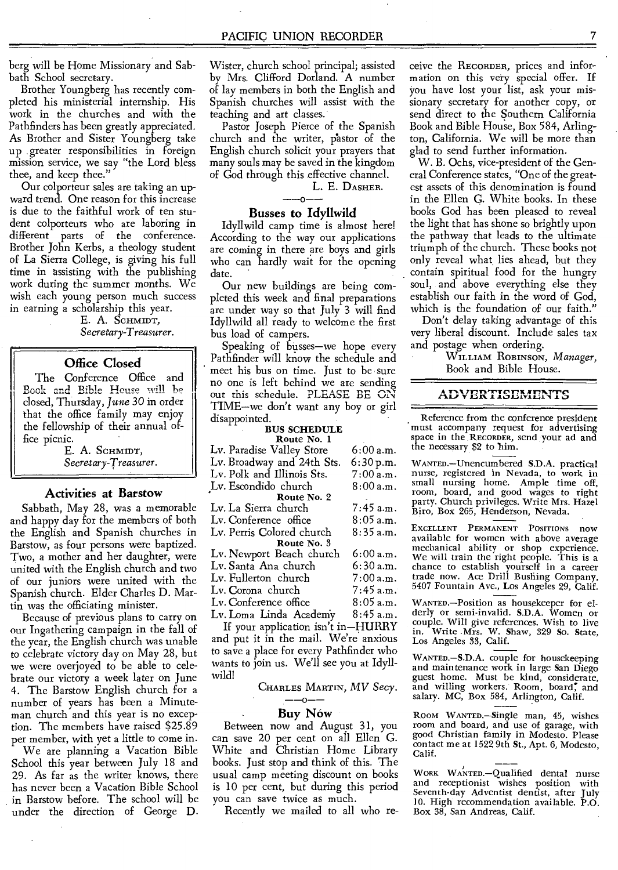berg will be Home Missionary and Sabbath School secretary.

Brother Youngberg has recently completed his ministerial internship. His work in the churches and with the Pathfinders has been greatly appreciated. As Brother and Sister Youngberg take up greater responsibilities in foreign mission service, we say "the Lord bless thee, and keep thee."

Our colporteur sales are taking an upward trend. One reason for this increase is due to the faithful work of ten student colporteurs who are laboring in different parts of the conference. Brother John Kerbs, a theology student of La Sierra College, is giving his full time in assisting with the publishing work during the summer months. We wish each young person much success in earning a scholarship this year.

E. A. SCHMIDT, *Secretary-Treasurer.* 

#### Office Closed

The Conference Office and Book and Bible House will be dosed, Thursday, *June* 30 in order that the office family may enjoy the fellowship of their annual office picnic.

> E. A. SCHMIDT, *Secretary-Treasurer.*

#### Activities at Barstow

Sabbath, May 28, was a memorable and happy day for the members of both the English and Spanish churches in Barstow, as four persons were baptized. Two, a mother and her daughter, were united with the English church and two of our juniors were united with the Spanish church. Elder Charles D. Martin was the officiating minister.

Because of previous plans to carry on our Ingathering campaign in the fall of the year, the English church was unable to celebrate victory day on May 28, but we were overjoyed to be able to celebrate our victory a week later on June 4. The Barstow English church for a number of years has been a Minuteman church and this year is no exception. The members have raised \$25.89 per member, with yet a little to come in. We are planning a Vacation Bible School this year between July 18 and

29. As far as the writer knows, there has never been a Vacation Bible School in Barstow before. The school will be under the direction of George D. Wister, church school principal; assisted by Mrs. Clifford Dorland. A number of lay members in both the English and Spanish churches will assist with the teaching and art classes.

Pastor Joseph Pierce of the Spanish church and the writer, pastor of the English church solicit your prayers that many souls may be saved in the kingdom of God through this effective channel.

L. E. DASHER.

#### Busses to Idyllwild

Idyllwild camp time is almost here! According to the way our applications are coming in there are boys and girls who can hardly wait for the opening date.

Our new buildings are being completed this week and final preparations are under way so that July 3 will find Idyllwild all ready to welcome the first bus load of campers.

Speaking of busses—we hope every Pathfinder will know the schedule and meet his bus on time. Just to be sure no one is left behind we are sending out this schedule. PLEASE BE ON TIME—we don't want any boy or girl disappointed.

#### BUS SCHEDULE Route No.

| ROHIE IVO. I                              |             |  |  |
|-------------------------------------------|-------------|--|--|
| Lv. Paradise Valley Store                 | $6:00$ a.m. |  |  |
| Lv. Broadway and 24th Sts.                | 6:30 p.m.   |  |  |
| Lv. Polk and Illinois Sts.                | 7:00a.m.    |  |  |
| Lv. Escondido church                      | 8:00a.m.    |  |  |
| Route No. 2                               |             |  |  |
| Lv. La Sierra church                      | 7:45 a.m.   |  |  |
| Lv. Conference office                     | $8:05$ a.m. |  |  |
| Lv. Perris Colored church                 | $8:35$ a.m. |  |  |
| Route No. 3                               |             |  |  |
| Lv. Newport Beach church                  | 6:00 a.m.   |  |  |
| Lv. Santa Ana church                      | $6:30$ a.m. |  |  |
| Lv. Fullerton church                      | $7:00$ a.m. |  |  |
| Lv. Corona church                         | $7:45$ a.m. |  |  |
| Lv. Conference office                     | 8:05 a.m.   |  |  |
| Lv. Loma Linda Academy                    | 8:45 a.m.   |  |  |
| If your application isn't in-HURRY        |             |  |  |
| and $min$ it in the mail $We'$ re anvious |             |  |  |

and put it in the mail. We're anxious to save a place for every Pathfinder who wants to join us. We'll see you at Idyllwild!

CHARLES MARTIN, *MV Secy. --0--* 

#### Buy Now

Between now and August 31, you can save 20 per cent on all Ellen G. White and Christian Home Library books. Just stop and think of this. The usual camp meeting discount on books is 10 per cent, but during this period you can save twice as much.

Recently we mailed to all who re-

ceive the RECORDER, prices and information on this very special offer. If you have lost your list, ask your missionary secretary for another copy, or send direct to the Southern California Book and Bible House, Box 584, Arlington, California. We will be more than glad to send further information.

W. B. Ochs, vice-president of the General Conference states, "One of the greatest assets of this denomination is found in the Ellen G. White books. In these books God has been pleased to reveal the light that has shone so brightly upon the pathway that leads to the ultimate triumph of the church. These books not only reveal what lies ahead, but they contain spiritual food for the hungry soul, and above everything else they establish our faith in the word of God, which is the foundation of our faith."

Don't delay taking advantage of this very liberal discount. Include sales tax and postage when ordering.

WILLIAM ROBINSON, *Manager,*  Book and Bible House.

#### ADVERTISEMENTS

Reference from the conference president must accompany request for advertising space in the RECORDER, send your ad and the necessary \$2 to

WANTED.—Unencumbered S.D.A. practical nurse, registered in Nevada, to work in small nursing home. Ample time off, room, board, and good wages to right party. Church privileges. Write Mrs. Hazel Biro, Box 265, Henderson, Nevada.

EXCELLENT PERMANENT POSITIONS now available for women with above average mechanical ability or shop experience. We will train the right people. This is a<br>chance to establish yourself in a career trade now. Ace Drill Bushing Company, 5407 Fountain Ave., Los Angeles 29, Calif.

WANTED.-Position as housekeeper for elderly or semi-invalid. S.D.A. Women or couple. Will give references. Wish to live in. Write Mrs. W. Shaw, 329 So. State, Los Angeles 33, Calif.

WANTED.—S.D.A. couple for housekeeping and maintenance work in large San Diego guest home. Must be kind, considerate, and willing workers. Room, board, and<br>salary. MC, Box 584, Arlington, Calif.

Room WANTED.—Single man, 45, wishes room and board, and use of garage, with good Christian family in Modesto. Please contact me at 1522 9th St., Apt. 6, Modesto, Calif.

Calif.<br>
WORK WANTED.—Qualified dental nurse<br>
and receptionist wishes position with<br>
Seventh-day Adventist dentist, after July 10. High recommendation available. P.O. Box 38, San Andreas, Calif.